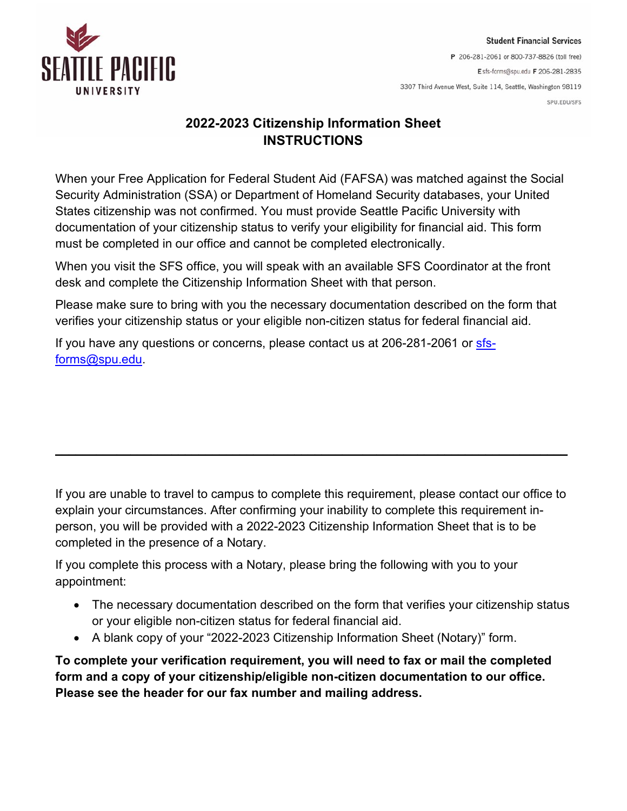

## **2022-2023 Citizenship Information Sheet INSTRUCTIONS**

When your Free Application for Federal Student Aid (FAFSA) was matched against the Social Security Administration (SSA) or Department of Homeland Security databases, your United States citizenship was not confirmed. You must provide Seattle Pacific University with documentation of your citizenship status to verify your eligibility for financial aid. This form must be completed in our office and cannot be completed electronically.

When you visit the SFS office, you will speak with an available SFS Coordinator at the front desk and complete the Citizenship Information Sheet with that person.

Please make sure to bring with you the necessary documentation described on the form that verifies your citizenship status or your eligible non-citizen status for federal financial aid.

If you have any questions or concerns, please contact us at 206-281-2061 or [sfs](mailto:sfs-forms@spu.edu)[forms@spu.edu.](mailto:sfs-forms@spu.edu)

If you are unable to travel to campus to complete this requirement, please contact our office to explain your circumstances. After confirming your inability to complete this requirement inperson, you will be provided with a 2022-2023 Citizenship Information Sheet that is to be completed in the presence of a Notary.

**\_\_\_\_\_\_\_\_\_\_\_\_\_\_\_\_\_\_\_\_\_\_\_\_\_\_\_\_\_\_\_\_\_\_\_\_\_\_\_\_\_\_\_\_\_\_\_\_\_\_\_\_\_\_\_\_\_\_\_\_\_\_\_\_\_\_\_\_\_\_\_\_\_\_\_**

If you complete this process with a Notary, please bring the following with you to your appointment:

- The necessary documentation described on the form that verifies your citizenship status or your eligible non-citizen status for federal financial aid.
- A blank copy of your "2022-2023 Citizenship Information Sheet (Notary)" form.

**To complete your verification requirement, you will need to fax or mail the completed form and a copy of your citizenship/eligible non-citizen documentation to our office. Please see the header for our fax number and mailing address.**